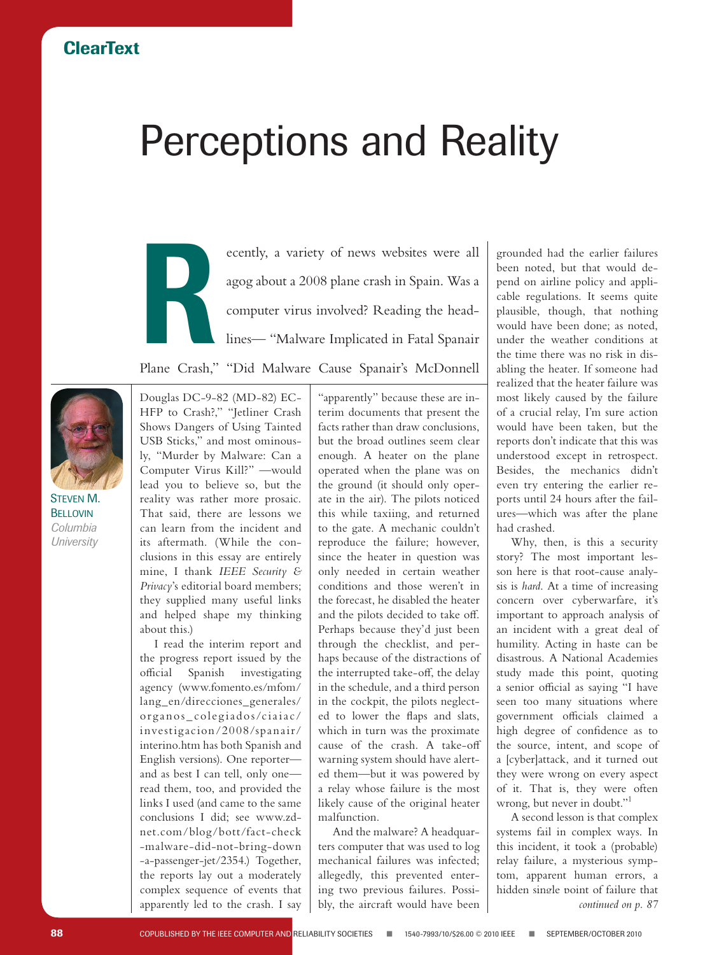## Perceptions and Reality

ecently, a variety of news websites were all<br>agog about a 2008 plane crash in Spain. Was a<br>computer virus involved? Reading the head-<br>lines— "Malware Implicated in Fatal Spanair agog about a 2008 plane crash in Spain. Was a computer virus involved? Reading the headlines— "Malware Implicated in Fatal Spanair Plane Crash," "Did Malware Cause Spanair's McDonnell



STEVEN M. **BELLOVIN** *Columbia University*

Douglas DC-9-82 (MD-82) EC-HFP to Crash?," "Jetliner Crash Shows Dangers of Using Tainted USB Sticks," and most ominously, "Murder by Malware: Can a Computer Virus Kill?" —would lead you to believe so, but the reality was rather more prosaic. That said, there are lessons we can learn from the incident and its aftermath. (While the conclusions in this essay are entirely mine, I thank *IEEE Security & Privacy*'s editorial board members; they supplied many useful links and helped shape my thinking about this.)

I read the interim report and the progress report issued by the official Spanish investigating agency (www.fomento.es/mfom/ lang\_en/direcciones\_generales/ organos\_colegiados/ciaiac/ investigacion/2008/spanair/ interino.htm has both Spanish and English versions). One reporter and as best I can tell, only one read them, too, and provided the links I used (and came to the same conclusions I did; see www.zdnet.com/blog/bott/fact-check -malware-did-not-bring-down -a-passenger-jet/2354.) Together, the reports lay out a moderately complex sequence of events that apparently led to the crash. I say

"apparently" because these are interim documents that present the facts rather than draw conclusions, but the broad outlines seem clear enough. A heater on the plane operated when the plane was on the ground (it should only operate in the air). The pilots noticed this while taxiing, and returned to the gate. A mechanic couldn't reproduce the failure; however, since the heater in question was only needed in certain weather conditions and those weren't in the forecast, he disabled the heater and the pilots decided to take off. Perhaps because they'd just been through the checklist, and perhaps because of the distractions of the interrupted take-off, the delay in the schedule, and a third person in the cockpit, the pilots neglected to lower the flaps and slats, which in turn was the proximate cause of the crash. A take-off warning system should have alerted them—but it was powered by a relay whose failure is the most likely cause of the original heater malfunction.

And the malware? A headquarters computer that was used to log mechanical failures was infected; allegedly, this prevented entering two previous failures. Possibly, the aircraft would have been grounded had the earlier failures been noted, but that would depend on airline policy and applicable regulations. It seems quite plausible, though, that nothing would have been done; as noted, under the weather conditions at the time there was no risk in disabling the heater. If someone had realized that the heater failure was most likely caused by the failure of a crucial relay, I'm sure action would have been taken, but the reports don't indicate that this was understood except in retrospect. Besides, the mechanics didn't even try entering the earlier reports until 24 hours after the failures—which was after the plane had crashed.

Why, then, is this a security story? The most important lesson here is that root-cause analysis is *hard*. At a time of increasing concern over cyberwarfare, it's important to approach analysis of an incident with a great deal of humility. Acting in haste can be disastrous. A National Academies study made this point, quoting a senior official as saying "I have seen too many situations where government officials claimed a high degree of confidence as to the source, intent, and scope of a [cyber]attack, and it turned out they were wrong on every aspect of it. That is, they were often wrong, but never in doubt."1

A second lesson is that complex systems fail in complex ways. In this incident, it took a (probable) relay failure, a mysterious symptom, apparent human errors, a hidden single point of failure that *continued on p. 87*